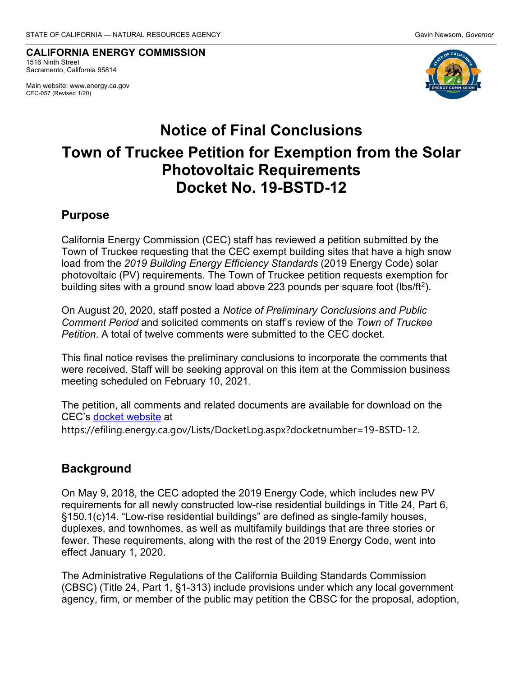**CALIFORNIA ENERGY COMMISSION** 1516 Ninth Street Sacramento, California 95814

Main website: www.energy.ca.gov CEC-057 (Revised 1/20)



# **Notice of Final Conclusions Town of Truckee Petition for Exemption from the Solar Photovoltaic Requirements Docket No. 19-BSTD-12**

#### **Purpose**

California Energy Commission (CEC) staff has reviewed a petition submitted by the Town of Truckee requesting that the CEC exempt building sites that have a high snow load from the *2019 Building Energy Efficiency Standards* (2019 Energy Code) solar photovoltaic (PV) requirements. The Town of Truckee petition requests exemption for building sites with a ground snow load above 223 pounds per square foot (lbs/ft2).

On August 20, 2020, staff posted a *Notice of Preliminary Conclusions and Public Comment Period* and solicited comments on staff's review of the *Town of Truckee Petition*. A total of twelve comments were submitted to the CEC docket.

This final notice revises the preliminary conclusions to incorporate the comments that were received. Staff will be seeking approval on this item at the Commission business meeting scheduled on February 10, 2021.

The petition, all comments and related documents are available for download on the CEC's [docket website](https://efiling.energy.ca.gov/Lists/DocketLog.aspx?docketnumber=19-BSTD-12) at https://efiling.energy.ca.gov/Lists/DocketLog.aspx?docketnumber=19-BSTD-12.

## **Background**

On May 9, 2018, the CEC adopted the 2019 Energy Code, which includes new PV requirements for all newly constructed low-rise residential buildings in Title 24, Part 6, §150.1(c)14. "Low-rise residential buildings" are defined as single-family houses, duplexes, and townhomes, as well as multifamily buildings that are three stories or fewer. These requirements, along with the rest of the 2019 Energy Code, went into effect January 1, 2020.

The Administrative Regulations of the California Building Standards Commission (CBSC) (Title 24, Part 1, §1-313) include provisions under which any local government agency, firm, or member of the public may petition the CBSC for the proposal, adoption,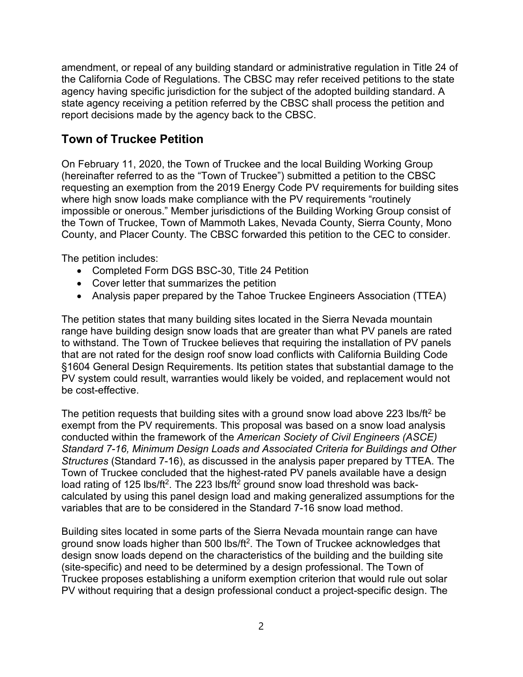amendment, or repeal of any building standard or administrative regulation in Title 24 of the California Code of Regulations. The CBSC may refer received petitions to the state agency having specific jurisdiction for the subject of the adopted building standard. A state agency receiving a petition referred by the CBSC shall process the petition and report decisions made by the agency back to the CBSC.

## **Town of Truckee Petition**

On February 11, 2020, the Town of Truckee and the local Building Working Group (hereinafter referred to as the "Town of Truckee") submitted a petition to the CBSC requesting an exemption from the 2019 Energy Code PV requirements for building sites where high snow loads make compliance with the PV requirements "routinely impossible or onerous." Member jurisdictions of the Building Working Group consist of the Town of Truckee, Town of Mammoth Lakes, Nevada County, Sierra County, Mono County, and Placer County. The CBSC forwarded this petition to the CEC to consider.

The petition includes:

- Completed Form DGS BSC-30, Title 24 Petition
- Cover letter that summarizes the petition
- Analysis paper prepared by the Tahoe Truckee Engineers Association (TTEA)

The petition states that many building sites located in the Sierra Nevada mountain range have building design snow loads that are greater than what PV panels are rated to withstand. The Town of Truckee believes that requiring the installation of PV panels that are not rated for the design roof snow load conflicts with California Building Code §1604 General Design Requirements. Its petition states that substantial damage to the PV system could result, warranties would likely be voided, and replacement would not be cost-effective.

The petition requests that building sites with a ground snow load above 223 lbs/ft<sup>2</sup> be exempt from the PV requirements. This proposal was based on a snow load analysis conducted within the framework of the *American Society of Civil Engineers (ASCE) Standard 7-16, Minimum Design Loads and Associated Criteria for Buildings and Other Structures* (Standard 7-16), as discussed in the analysis paper prepared by TTEA. The Town of Truckee concluded that the highest-rated PV panels available have a design load rating of 125 lbs/ft<sup>2</sup>. The 223 lbs/ft<sup>2</sup> ground snow load threshold was backcalculated by using this panel design load and making generalized assumptions for the variables that are to be considered in the Standard 7-16 snow load method.

Building sites located in some parts of the Sierra Nevada mountain range can have ground snow loads higher than 500 lbs/ft<sup>2</sup>. The Town of Truckee acknowledges that design snow loads depend on the characteristics of the building and the building site (site-specific) and need to be determined by a design professional. The Town of Truckee proposes establishing a uniform exemption criterion that would rule out solar PV without requiring that a design professional conduct a project-specific design. The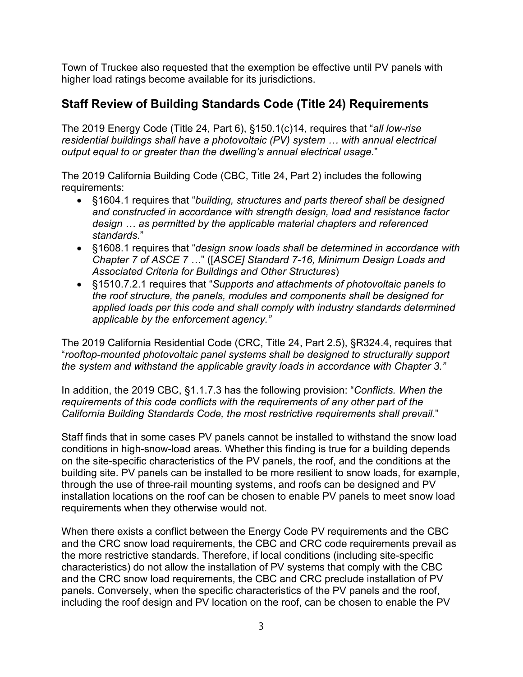Town of Truckee also requested that the exemption be effective until PV panels with higher load ratings become available for its jurisdictions.

# **Staff Review of Building Standards Code (Title 24) Requirements**

The 2019 Energy Code (Title 24, Part 6), §150.1(c)14, requires that "*all low-rise residential buildings shall have a photovoltaic (PV) system … with annual electrical output equal to or greater than the dwelling's annual electrical usage.*"

The 2019 California Building Code (CBC, Title 24, Part 2) includes the following requirements:

- §1604.1 requires that "*building, structures and parts thereof shall be designed and constructed in accordance with strength design, load and resistance factor design … as permitted by the applicable material chapters and referenced standards.*"
- §1608.1 requires that "*design snow loads shall be determined in accordance with Chapter 7 of ASCE 7 …*" ([*ASCE] Standard 7-16, Minimum Design Loads and Associated Criteria for Buildings and Other Structures*)
- §1510.7.2.1 requires that "*Supports and attachments of photovoltaic panels to the roof structure, the panels, modules and components shall be designed for applied loads per this code and shall comply with industry standards determined applicable by the enforcement agency."*

The 2019 California Residential Code (CRC, Title 24, Part 2.5), §R324.4, requires that "*rooftop-mounted photovoltaic panel systems shall be designed to structurally support the system and withstand the applicable gravity loads in accordance with Chapter 3."*

In addition, the 2019 CBC, §1.1.7.3 has the following provision: "*Conflicts. When the requirements of this code conflicts with the requirements of any other part of the California Building Standards Code, the most restrictive requirements shall prevail.*"

Staff finds that in some cases PV panels cannot be installed to withstand the snow load conditions in high-snow-load areas. Whether this finding is true for a building depends on the site-specific characteristics of the PV panels, the roof, and the conditions at the building site. PV panels can be installed to be more resilient to snow loads, for example, through the use of three-rail mounting systems, and roofs can be designed and PV installation locations on the roof can be chosen to enable PV panels to meet snow load requirements when they otherwise would not.

When there exists a conflict between the Energy Code PV requirements and the CBC and the CRC snow load requirements, the CBC and CRC code requirements prevail as the more restrictive standards. Therefore, if local conditions (including site-specific characteristics) do not allow the installation of PV systems that comply with the CBC and the CRC snow load requirements, the CBC and CRC preclude installation of PV panels. Conversely, when the specific characteristics of the PV panels and the roof, including the roof design and PV location on the roof, can be chosen to enable the PV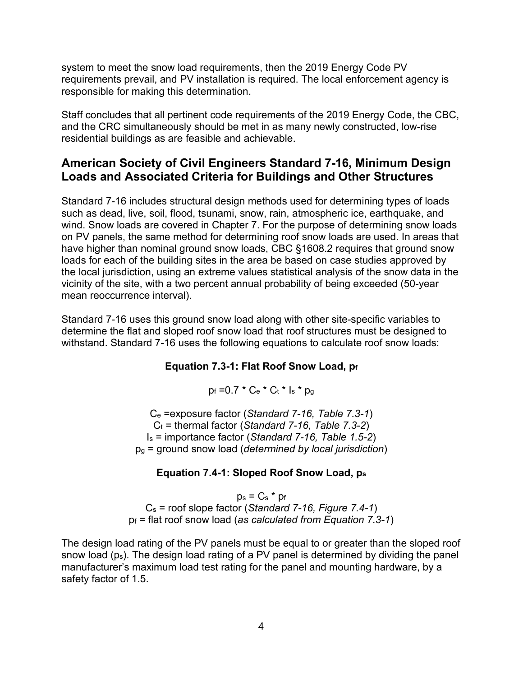system to meet the snow load requirements, then the 2019 Energy Code PV requirements prevail, and PV installation is required. The local enforcement agency is responsible for making this determination.

Staff concludes that all pertinent code requirements of the 2019 Energy Code, the CBC, and the CRC simultaneously should be met in as many newly constructed, low-rise residential buildings as are feasible and achievable.

#### **American Society of Civil Engineers Standard 7-16, Minimum Design Loads and Associated Criteria for Buildings and Other Structures**

Standard 7-16 includes structural design methods used for determining types of loads such as dead, live, soil, flood, tsunami, snow, rain, atmospheric ice, earthquake, and wind. Snow loads are covered in Chapter 7. For the purpose of determining snow loads on PV panels, the same method for determining roof snow loads are used. In areas that have higher than nominal ground snow loads, CBC §1608.2 requires that ground snow loads for each of the building sites in the area be based on case studies approved by the local jurisdiction, using an extreme values statistical analysis of the snow data in the vicinity of the site, with a two percent annual probability of being exceeded (50-year mean reoccurrence interval).

Standard 7-16 uses this ground snow load along with other site-specific variables to determine the flat and sloped roof snow load that roof structures must be designed to withstand. Standard 7-16 uses the following equations to calculate roof snow loads:

#### **Equation 7.3-1: Flat Roof Snow Load, pf**

 $p_f = 0.7 * C_e * C_t * I_s * p_q$ 

Ce =exposure factor (*Standard 7-16, Table 7.3-1*)  $C_t$  = thermal factor (*Standard 7-16, Table 7.3-2*) Is = importance factor (*Standard 7-16, Table 1.5-2*) pg = ground snow load (*determined by local jurisdiction*)

#### **Equation 7.4-1: Sloped Roof Snow Load, ps**

 $p_s = C_s * p_f$ Cs = roof slope factor (*Standard 7-16, Figure 7.4-1*) pf = flat roof snow load (*as calculated from Equation 7.3-1*)

The design load rating of the PV panels must be equal to or greater than the sloped roof snow load (ps). The design load rating of a PV panel is determined by dividing the panel manufacturer's maximum load test rating for the panel and mounting hardware, by a safety factor of 1.5.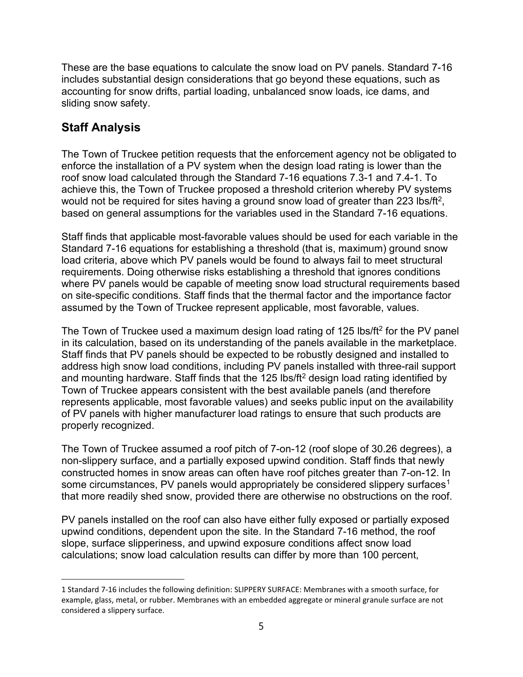These are the base equations to calculate the snow load on PV panels. Standard 7-16 includes substantial design considerations that go beyond these equations, such as accounting for snow drifts, partial loading, unbalanced snow loads, ice dams, and sliding snow safety.

# **Staff Analysis**

The Town of Truckee petition requests that the enforcement agency not be obligated to enforce the installation of a PV system when the design load rating is lower than the roof snow load calculated through the Standard 7-16 equations 7.3-1 and 7.4-1. To achieve this, the Town of Truckee proposed a threshold criterion whereby PV systems would not be required for sites having a ground snow load of greater than 223 lbs/ft<sup>2</sup>, based on general assumptions for the variables used in the Standard 7-16 equations.

Staff finds that applicable most-favorable values should be used for each variable in the Standard 7-16 equations for establishing a threshold (that is, maximum) ground snow load criteria, above which PV panels would be found to always fail to meet structural requirements. Doing otherwise risks establishing a threshold that ignores conditions where PV panels would be capable of meeting snow load structural requirements based on site-specific conditions. Staff finds that the thermal factor and the importance factor assumed by the Town of Truckee represent applicable, most favorable, values.

The Town of Truckee used a maximum design load rating of 125 lbs/ft<sup>2</sup> for the PV panel in its calculation, based on its understanding of the panels available in the marketplace. Staff finds that PV panels should be expected to be robustly designed and installed to address high snow load conditions, including PV panels installed with three-rail support and mounting hardware. Staff finds that the 125 lbs/ft<sup>2</sup> design load rating identified by Town of Truckee appears consistent with the best available panels (and therefore represents applicable, most favorable values) and seeks public input on the availability of PV panels with higher manufacturer load ratings to ensure that such products are properly recognized.

The Town of Truckee assumed a roof pitch of 7-on-12 (roof slope of 30.26 degrees), a non-slippery surface, and a partially exposed upwind condition. Staff finds that newly constructed homes in snow areas can often have roof pitches greater than 7-on-12. In some circumstances, PV panels would appropriately be considered slippery surfaces<sup>[1](#page-4-0)</sup> that more readily shed snow, provided there are otherwise no obstructions on the roof.

PV panels installed on the roof can also have either fully exposed or partially exposed upwind conditions, dependent upon the site. In the Standard 7-16 method, the roof slope, surface slipperiness, and upwind exposure conditions affect snow load calculations; snow load calculation results can differ by more than 100 percent,

<span id="page-4-0"></span><sup>1</sup> Standard 7-16 includes the following definition: SLIPPERY SURFACE: Membranes with a smooth surface, for example, glass, metal, or rubber. Membranes with an embedded aggregate or mineral granule surface are not considered a slippery surface.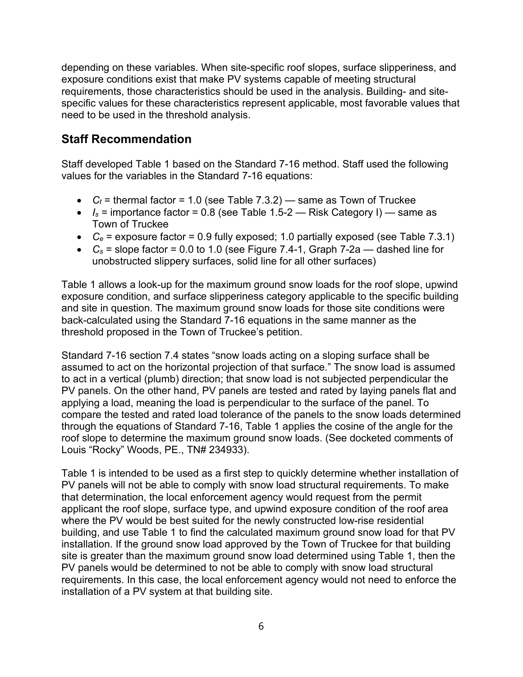depending on these variables. When site-specific roof slopes, surface slipperiness, and exposure conditions exist that make PV systems capable of meeting structural requirements, those characteristics should be used in the analysis. Building- and sitespecific values for these characteristics represent applicable, most favorable values that need to be used in the threshold analysis.

## **Staff Recommendation**

Staff developed Table 1 based on the Standard 7-16 method. Staff used the following values for the variables in the Standard 7-16 equations:

- $C_t$  = thermal factor = 1.0 (see Table 7.3.2) same as Town of Truckee
- $I_s$  = importance factor = 0.8 (see Table 1.5-2 Risk Category I) same as Town of Truckee
- *Ce* = exposure factor = 0.9 fully exposed; 1.0 partially exposed (see Table 7.3.1)
- $C_s$  = slope factor = 0.0 to 1.0 (see Figure 7.4-1, Graph 7-2a dashed line for unobstructed slippery surfaces, solid line for all other surfaces)

Table 1 allows a look-up for the maximum ground snow loads for the roof slope, upwind exposure condition, and surface slipperiness category applicable to the specific building and site in question. The maximum ground snow loads for those site conditions were back-calculated using the Standard 7-16 equations in the same manner as the threshold proposed in the Town of Truckee's petition.

Standard 7-16 section 7.4 states "snow loads acting on a sloping surface shall be assumed to act on the horizontal projection of that surface." The snow load is assumed to act in a vertical (plumb) direction; that snow load is not subjected perpendicular the PV panels. On the other hand, PV panels are tested and rated by laying panels flat and applying a load, meaning the load is perpendicular to the surface of the panel. To compare the tested and rated load tolerance of the panels to the snow loads determined through the equations of Standard 7-16, Table 1 applies the cosine of the angle for the roof slope to determine the maximum ground snow loads. (See docketed comments of Louis "Rocky" Woods, PE., TN# 234933).

Table 1 is intended to be used as a first step to quickly determine whether installation of PV panels will not be able to comply with snow load structural requirements. To make that determination, the local enforcement agency would request from the permit applicant the roof slope, surface type, and upwind exposure condition of the roof area where the PV would be best suited for the newly constructed low-rise residential building, and use Table 1 to find the calculated maximum ground snow load for that PV installation. If the ground snow load approved by the Town of Truckee for that building site is greater than the maximum ground snow load determined using Table 1, then the PV panels would be determined to not be able to comply with snow load structural requirements. In this case, the local enforcement agency would not need to enforce the installation of a PV system at that building site.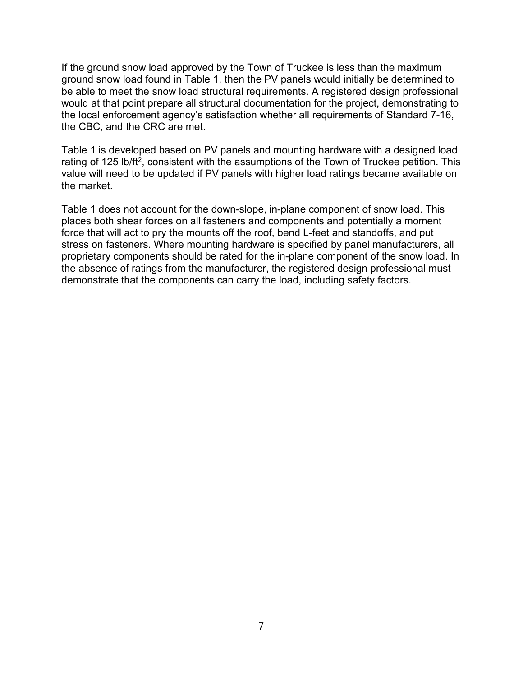If the ground snow load approved by the Town of Truckee is less than the maximum ground snow load found in Table 1, then the PV panels would initially be determined to be able to meet the snow load structural requirements. A registered design professional would at that point prepare all structural documentation for the project, demonstrating to the local enforcement agency's satisfaction whether all requirements of Standard 7-16, the CBC, and the CRC are met.

Table 1 is developed based on PV panels and mounting hardware with a designed load rating of 125 lb/ft<sup>2</sup>, consistent with the assumptions of the Town of Truckee petition. This value will need to be updated if PV panels with higher load ratings became available on the market.

Table 1 does not account for the down-slope, in-plane component of snow load. This places both shear forces on all fasteners and components and potentially a moment force that will act to pry the mounts off the roof, bend L-feet and standoffs, and put stress on fasteners. Where mounting hardware is specified by panel manufacturers, all proprietary components should be rated for the in-plane component of the snow load. In the absence of ratings from the manufacturer, the registered design professional must demonstrate that the components can carry the load, including safety factors.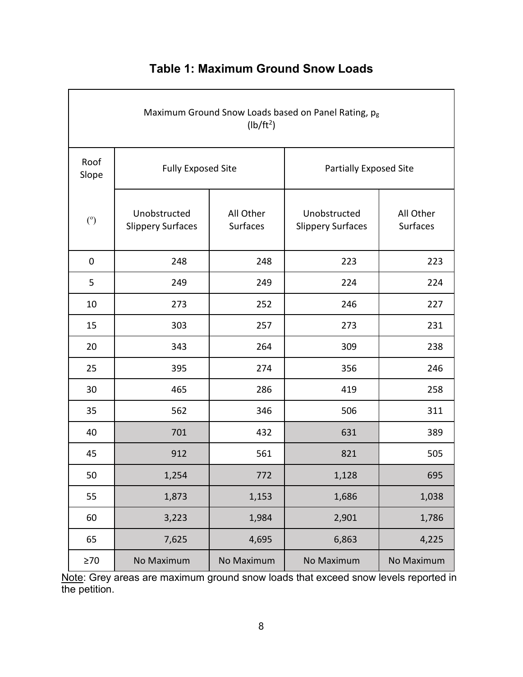| Maximum Ground Snow Loads based on Panel Rating, pg<br>(lb/ft <sup>2</sup> ) |                                          |                       |                                          |                       |
|------------------------------------------------------------------------------|------------------------------------------|-----------------------|------------------------------------------|-----------------------|
| Roof<br>Slope                                                                | <b>Fully Exposed Site</b>                |                       | <b>Partially Exposed Site</b>            |                       |
| (°)                                                                          | Unobstructed<br><b>Slippery Surfaces</b> | All Other<br>Surfaces | Unobstructed<br><b>Slippery Surfaces</b> | All Other<br>Surfaces |
| $\pmb{0}$                                                                    | 248                                      | 248                   | 223                                      | 223                   |
| 5                                                                            | 249                                      | 249                   | 224                                      | 224                   |
| 10                                                                           | 273                                      | 252                   | 246                                      | 227                   |
| 15                                                                           | 303                                      | 257                   | 273                                      | 231                   |
| 20                                                                           | 343                                      | 264                   | 309                                      | 238                   |
| 25                                                                           | 395                                      | 274                   | 356                                      | 246                   |
| 30                                                                           | 465                                      | 286                   | 419                                      | 258                   |
| 35                                                                           | 562                                      | 346                   | 506                                      | 311                   |
| 40                                                                           | 701                                      | 432                   | 631                                      | 389                   |
| 45                                                                           | 912                                      | 561                   | 821                                      | 505                   |
| 50                                                                           | 1,254                                    | 772                   | 1,128                                    | 695                   |
| 55                                                                           | 1,873                                    | 1,153                 | 1,686                                    | 1,038                 |
| 60                                                                           | 3,223                                    | 1,984                 | 2,901                                    | 1,786                 |
| 65                                                                           | 7,625                                    | 4,695                 | 6,863                                    | 4,225                 |
| $\geq 70$                                                                    | No Maximum                               | No Maximum            | No Maximum                               | No Maximum            |

# **Table 1: Maximum Ground Snow Loads**

<u>Note</u>: Grey areas are maximum ground snow loads that exceed snow levels reported in the petition.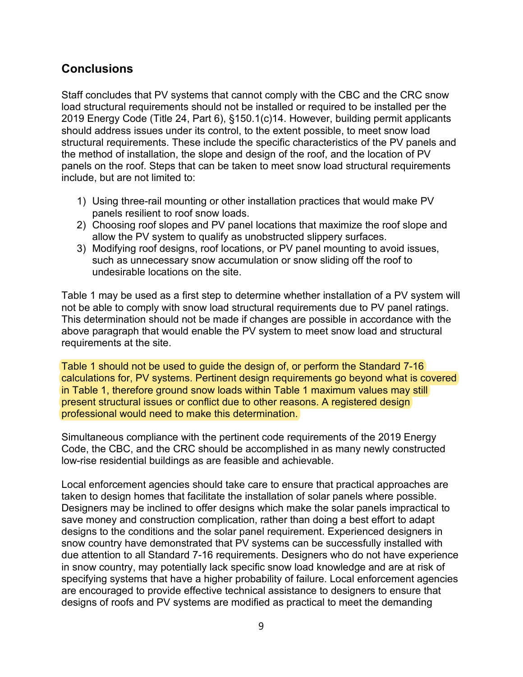#### **Conclusions**

Staff concludes that PV systems that cannot comply with the CBC and the CRC snow load structural requirements should not be installed or required to be installed per the 2019 Energy Code (Title 24, Part 6), §150.1(c)14. However, building permit applicants should address issues under its control, to the extent possible, to meet snow load structural requirements. These include the specific characteristics of the PV panels and the method of installation, the slope and design of the roof, and the location of PV panels on the roof. Steps that can be taken to meet snow load structural requirements include, but are not limited to:

- 1) Using three-rail mounting or other installation practices that would make PV panels resilient to roof snow loads.
- 2) Choosing roof slopes and PV panel locations that maximize the roof slope and allow the PV system to qualify as unobstructed slippery surfaces.
- 3) Modifying roof designs, roof locations, or PV panel mounting to avoid issues, such as unnecessary snow accumulation or snow sliding off the roof to undesirable locations on the site.

Table 1 may be used as a first step to determine whether installation of a PV system will not be able to comply with snow load structural requirements due to PV panel ratings. This determination should not be made if changes are possible in accordance with the above paragraph that would enable the PV system to meet snow load and structural requirements at the site.

Table 1 should not be used to guide the design of, or perform the Standard 7-16 calculations for, PV systems. Pertinent design requirements go beyond what is covered in Table 1, therefore ground snow loads within Table 1 maximum values may still present structural issues or conflict due to other reasons. A registered design professional would need to make this determination.

Simultaneous compliance with the pertinent code requirements of the 2019 Energy Code, the CBC, and the CRC should be accomplished in as many newly constructed low-rise residential buildings as are feasible and achievable.

Local enforcement agencies should take care to ensure that practical approaches are taken to design homes that facilitate the installation of solar panels where possible. Designers may be inclined to offer designs which make the solar panels impractical to save money and construction complication, rather than doing a best effort to adapt designs to the conditions and the solar panel requirement. Experienced designers in snow country have demonstrated that PV systems can be successfully installed with due attention to all Standard 7-16 requirements. Designers who do not have experience in snow country, may potentially lack specific snow load knowledge and are at risk of specifying systems that have a higher probability of failure. Local enforcement agencies are encouraged to provide effective technical assistance to designers to ensure that designs of roofs and PV systems are modified as practical to meet the demanding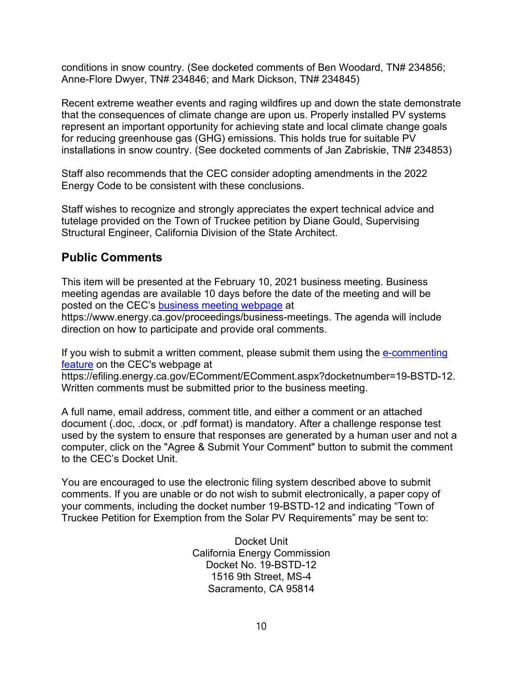conditions in snow country. (See docketed comments of Ben Woodard, TN# 234856; Anne-Flore Dwyer, TN# 234846; and Mark Dickson, TN# 234845)

Recent extreme weather events and raging wildfires up and down the state demonstrate that the consequences of climate change are upon us. Properly installed PV systems represent an important opportunity for achieving state and local climate change goals for reducing greenhouse gas (GHG) emissions. This holds true for suitable PV installations in snow country. (See docketed comments of Jan Zabriskie, TN# 234853)

Staff also recommends that the CEC consider adopting amendments in the 2022 Energy Code to be consistent with these conclusions.

Staff wishes to recognize and strongly appreciates the expert technical advice and tutelage provided on the Town of Truckee petition by Diane Gould, Supervising Structural Engineer, California Division of the State Architect.

## **Public Comments**

This item will be presented at the February 10, 2021 business meeting. Business meeting agendas are available 10 days before the date of the meeting and will be posted on the CEC's [business meeting webpage](https://www.energy.ca.gov/proceedings/business-meetings) at

https://www.energy.ca.gov/proceedings/business-meetings. The agenda will include direction on how to participate and provide oral comments.

If you wish to submit a written comment, please submit them using the [e-commenting](https://efiling.energy.ca.gov/EComment/ECommentSelectProceeding.aspx)  [feature](https://efiling.energy.ca.gov/EComment/ECommentSelectProceeding.aspx) on the CEC's webpage at

https://efiling.energy.ca.gov/EComment/EComment.aspx?docketnumber=19-BSTD-12. Written comments must be submitted prior to the business meeting.

A full name, email address, comment title, and either a comment or an attached document (.doc, .docx, or .pdf format) is mandatory. After a challenge response test used by the system to ensure that responses are generated by a human user and not a computer, click on the "Agree & Submit Your Comment" button to submit the comment to the CEC's Docket Unit.

You are encouraged to use the electronic filing system described above to submit comments. If you are unable or do not wish to submit electronically, a paper copy of your comments, including the docket number 19-BSTD-12 and indicating "Town of Truckee Petition for Exemption from the Solar PV Requirements" may be sent to:

> Docket Unit California Energy Commission Docket No. 19-BSTD-12 1516 9th Street, MS-4 Sacramento, CA 95814